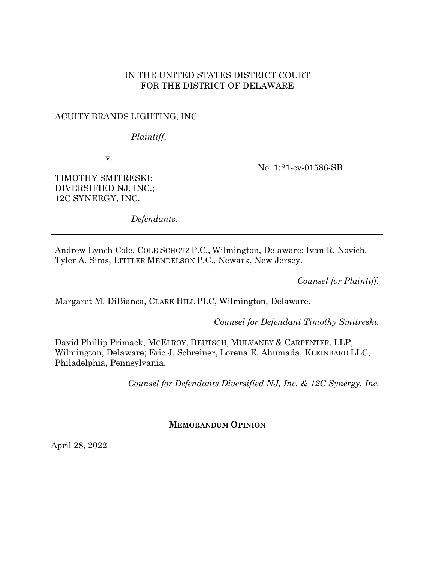## IN THE UNITED STATES DISTRICT COURT FOR THE DISTRICT OF DELAWARE

## ACUITY BRANDS LIGHTING, INC.

*Plaintiff*,

v.

No. 1:21-cv-01586-SB

TIMOTHY SMITRESKI; DIVERSIFIED NJ, INC.; 12C SYNERGY, INC.

*Defendants*.

Andrew Lynch Cole, COLE SCHOTZ P.C., Wilmington, Delaware; Ivan R. Novich, Tyler A. Sims, LITTLER MENDELSON P.C., Newark, New Jersey.

*Counsel for Plaintiff.*

Margaret M. DiBianca, CLARK HILL PLC, Wilmington, Delaware.

*Counsel for Defendant Timothy Smitreski.*

David Phillip Primack, MCELROY, DEUTSCH, MULVANEY & CARPENTER, LLP, Wilmington, Delaware; Eric J. Schreiner, Lorena E. Ahumada, KLEINBARD LLC, Philadelphia, Pennsylvania.

*Counsel for Defendants Diversified NJ, Inc. & 12C Synergy, Inc.*

**MEMORANDUM OPINION**

April 28, 2022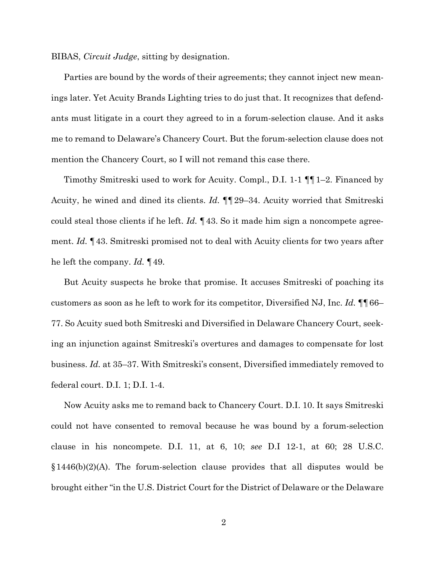BIBAS, *Circuit Judge*, sitting by designation.

Parties are bound by the words of their agreements; they cannot inject new meanings later. Yet Acuity Brands Lighting tries to do just that. It recognizes that defendants must litigate in a court they agreed to in a forum-selection clause. And it asks me to remand to Delaware's Chancery Court. But the forum-selection clause does not mention the Chancery Court, so I will not remand this case there.

Timothy Smitreski used to work for Acuity. Compl., D.I. 1-1 ¶¶1–2. Financed by Acuity, he wined and dined its clients. *Id.* ¶¶29–34. Acuity worried that Smitreski could steal those clients if he left. *Id.* ¶43. So it made him sign a noncompete agreement. *Id.* ¶43. Smitreski promised not to deal with Acuity clients for two years after he left the company. *Id.* ¶49.

But Acuity suspects he broke that promise. It accuses Smitreski of poaching its customers as soon as he left to work for its competitor, Diversified NJ, Inc. *Id.* ¶¶66– 77. So Acuity sued both Smitreski and Diversified in Delaware Chancery Court, seeking an injunction against Smitreski's overtures and damages to compensate for lost business. *Id.* at 35–37. With Smitreski's consent, Diversified immediately removed to federal court. D.I. 1; D.I. 1-4.

Now Acuity asks me to remand back to Chancery Court. D.I. 10. It says Smitreski could not have consented to removal because he was bound by a forum-selection clause in his noncompete. D.I. 11, at 6, 10; *see* D.I 12-1, at 60; 28 U.S.C.  $$1446(b)(2)(A)$ . The forum-selection clause provides that all disputes would be brought either "in the U.S. District Court for the District of Delaware or the Delaware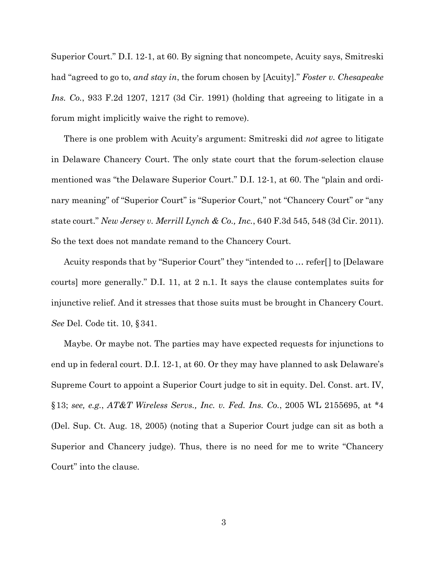Superior Court." D.I. 12-1, at 60. By signing that noncompete, Acuity says, Smitreski had "agreed to go to, *and stay in*, the forum chosen by [Acuity]." *Foster v. Chesapeake Ins. Co.*, 933 F.2d 1207, 1217 (3d Cir. 1991) (holding that agreeing to litigate in a forum might implicitly waive the right to remove).

There is one problem with Acuity's argument: Smitreski did *not* agree to litigate in Delaware Chancery Court. The only state court that the forum-selection clause mentioned was "the Delaware Superior Court." D.I. 12-1, at 60. The "plain and ordinary meaning" of "Superior Court" is "Superior Court," not "Chancery Court" or "any state court." *New Jersey v. Merrill Lynch & Co., Inc.*, 640 F.3d 545, 548 (3d Cir. 2011). So the text does not mandate remand to the Chancery Court.

Acuity responds that by "Superior Court" they "intended to … refer[] to [Delaware courts] more generally." D.I. 11, at 2 n.1. It says the clause contemplates suits for injunctive relief. And it stresses that those suits must be brought in Chancery Court. *See* Del. Code tit. 10, §341.

Maybe. Or maybe not. The parties may have expected requests for injunctions to end up in federal court. D.I. 12-1, at 60. Or they may have planned to ask Delaware's Supreme Court to appoint a Superior Court judge to sit in equity. Del. Const. art. IV, §13; *see, e.g.*, *AT&T Wireless Servs., Inc. v. Fed. Ins. Co.*, 2005 WL 2155695, at \*4 (Del. Sup. Ct. Aug. 18, 2005) (noting that a Superior Court judge can sit as both a Superior and Chancery judge). Thus, there is no need for me to write "Chancery Court" into the clause.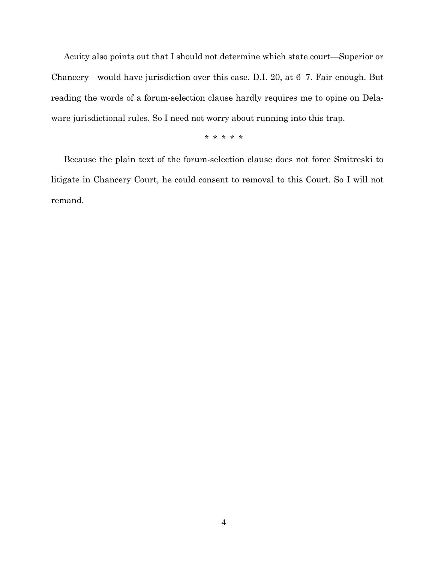Acuity also points out that I should not determine which state court—Superior or Chancery—would have jurisdiction over this case. D.I. 20, at 6–7. Fair enough. But reading the words of a forum-selection clause hardly requires me to opine on Delaware jurisdictional rules. So I need not worry about running into this trap.

\* \* \* \* \*

Because the plain text of the forum-selection clause does not force Smitreski to litigate in Chancery Court, he could consent to removal to this Court. So I will not remand.